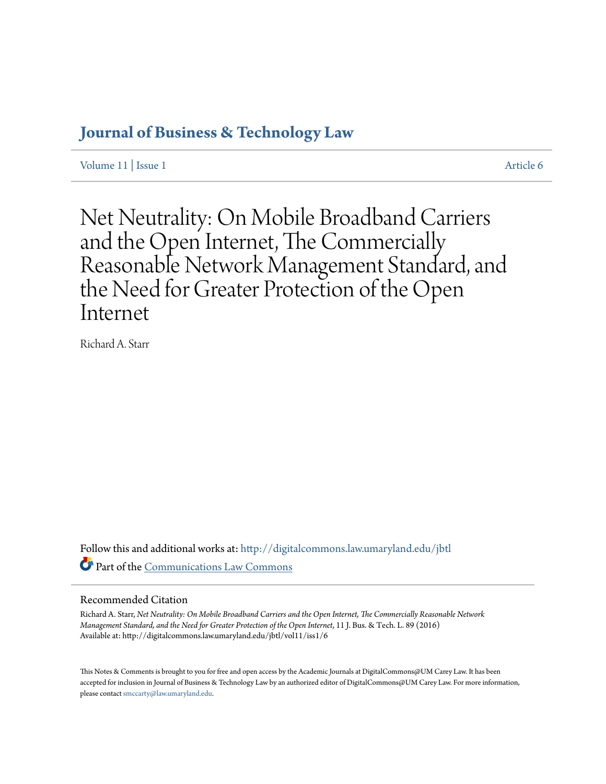# **[Journal of Business & Technology Law](http://digitalcommons.law.umaryland.edu/jbtl?utm_source=digitalcommons.law.umaryland.edu%2Fjbtl%2Fvol11%2Fiss1%2F6&utm_medium=PDF&utm_campaign=PDFCoverPages)**

[Volume 11](http://digitalcommons.law.umaryland.edu/jbtl/vol11?utm_source=digitalcommons.law.umaryland.edu%2Fjbtl%2Fvol11%2Fiss1%2F6&utm_medium=PDF&utm_campaign=PDFCoverPages) | [Issue 1](http://digitalcommons.law.umaryland.edu/jbtl/vol11/iss1?utm_source=digitalcommons.law.umaryland.edu%2Fjbtl%2Fvol11%2Fiss1%2F6&utm_medium=PDF&utm_campaign=PDFCoverPages) [Article 6](http://digitalcommons.law.umaryland.edu/jbtl/vol11/iss1/6?utm_source=digitalcommons.law.umaryland.edu%2Fjbtl%2Fvol11%2Fiss1%2F6&utm_medium=PDF&utm_campaign=PDFCoverPages)

Net Neutrality: On Mobile Broadband Carriers and the Open Internet, The Commercially Reasonable Network Management Standard, and the Need for Greater Protection of the Open Internet

Richard A. Starr

Follow this and additional works at: [http://digitalcommons.law.umaryland.edu/jbtl](http://digitalcommons.law.umaryland.edu/jbtl?utm_source=digitalcommons.law.umaryland.edu%2Fjbtl%2Fvol11%2Fiss1%2F6&utm_medium=PDF&utm_campaign=PDFCoverPages) Part of the [Communications Law Commons](http://network.bepress.com/hgg/discipline/587?utm_source=digitalcommons.law.umaryland.edu%2Fjbtl%2Fvol11%2Fiss1%2F6&utm_medium=PDF&utm_campaign=PDFCoverPages)

# Recommended Citation

Richard A. Starr, *Net Neutrality: On Mobile Broadband Carriers and the Open Internet, The Commercially Reasonable Network Management Standard, and the Need for Greater Protection of the Open Internet*, 11 J. Bus. & Tech. L. 89 (2016) Available at: http://digitalcommons.law.umaryland.edu/jbtl/vol11/iss1/6

This Notes & Comments is brought to you for free and open access by the Academic Journals at DigitalCommons@UM Carey Law. It has been accepted for inclusion in Journal of Business & Technology Law by an authorized editor of DigitalCommons@UM Carey Law. For more information, please contact [smccarty@law.umaryland.edu](mailto:smccarty@law.umaryland.edu).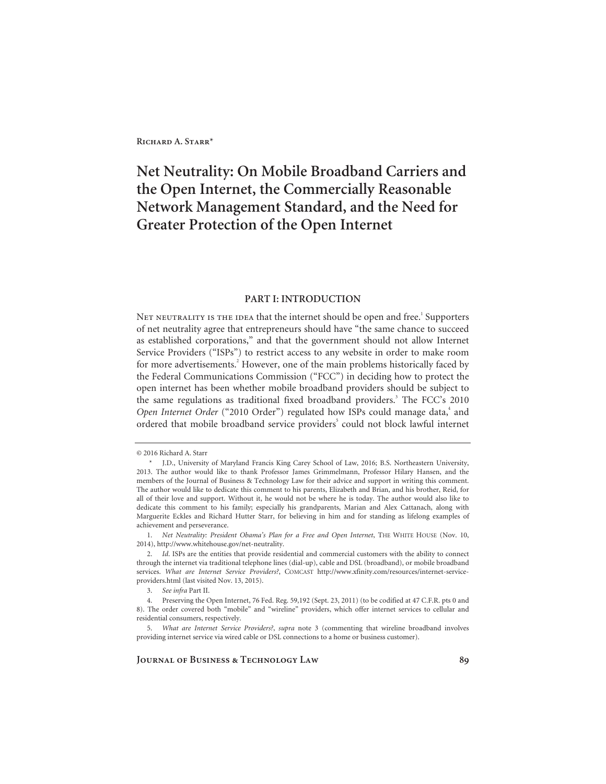# **Net Neutrality: On Mobile Broadband Carriers and the Open Internet, the Commercially Reasonable Network Management Standard, and the Need for Greater Protection of the Open Internet**

## **PART I: INTRODUCTION**

NET NEUTRALITY IS THE IDEA that the internet should be open and free. $^{\rm 1}$  Supporters of net neutrality agree that entrepreneurs should have "the same chance to succeed as established corporations," and that the government should not allow Internet Service Providers ("ISPs") to restrict access to any website in order to make room for more advertisements.<sup>2</sup> However, one of the main problems historically faced by the Federal Communications Commission ("FCC") in deciding how to protect the open internet has been whether mobile broadband providers should be subject to the same regulations as traditional fixed broadband providers.<sup>3</sup> The FCC's 2010 Open Internet Order ("2010 Order") regulated how ISPs could manage data,<sup>4</sup> and ordered that mobile broadband service providers<sup>5</sup> could not block lawful internet

<sup>© 2016</sup> Richard A. Starr

 <sup>\*</sup> J.D., University of Maryland Francis King Carey School of Law, 2016; B.S. Northeastern University, 2013. The author would like to thank Professor James Grimmelmann, Professor Hilary Hansen, and the members of the Journal of Business & Technology Law for their advice and support in writing this comment. The author would like to dedicate this comment to his parents, Elizabeth and Brian, and his brother, Reid, for all of their love and support. Without it, he would not be where he is today. The author would also like to dedicate this comment to his family; especially his grandparents, Marian and Alex Cattanach, along with Marguerite Eckles and Richard Hutter Starr, for believing in him and for standing as lifelong examples of achievement and perseverance.

<sup>1.</sup> *Net Neutrality: President Obama's Plan for a Free and Open Internet*, THE WHITE HOUSE (Nov. 10, 2014), http://www.whitehouse.gov/net-neutrality.

<sup>2.</sup> *Id*. ISPs are the entities that provide residential and commercial customers with the ability to connect through the internet via traditional telephone lines (dial-up), cable and DSL (broadband), or mobile broadband services. *What are Internet Service Providers?*, COMCAST http://www.xfinity.com/resources/internet-serviceproviders.html (last visited Nov. 13, 2015).

<sup>3.</sup> *See infra* Part II.

 <sup>4.</sup> Preserving the Open Internet, 76 Fed. Reg. 59,192 (Sept. 23, 2011) (to be codified at 47 C.F.R. pts 0 and 8). The order covered both "mobile" and "wireline" providers, which offer internet services to cellular and residential consumers, respectively.

<sup>5.</sup> *What are Internet Service Providers?*, *supra* note 3 (commenting that wireline broadband involves providing internet service via wired cable or DSL connections to a home or business customer).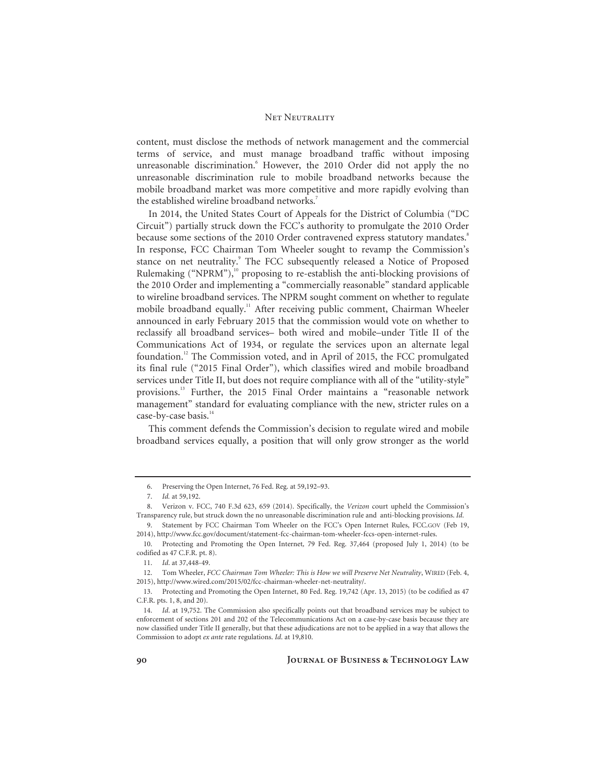content, must disclose the methods of network management and the commercial terms of service, and must manage broadband traffic without imposing unreasonable discrimination.<sup>6</sup> However, the 2010 Order did not apply the no unreasonable discrimination rule to mobile broadband networks because the mobile broadband market was more competitive and more rapidly evolving than the established wireline broadband networks.<sup>7</sup>

In 2014, the United States Court of Appeals for the District of Columbia ("DC Circuit") partially struck down the FCC's authority to promulgate the 2010 Order because some sections of the 2010 Order contravened express statutory mandates.<sup>8</sup> In response, FCC Chairman Tom Wheeler sought to revamp the Commission's stance on net neutrality.<sup>9</sup> The FCC subsequently released a Notice of Proposed Rulemaking ("NPRM"), $^{10}$  proposing to re-establish the anti-blocking provisions of the 2010 Order and implementing a "commercially reasonable" standard applicable to wireline broadband services. The NPRM sought comment on whether to regulate mobile broadband equally.<sup>11</sup> After receiving public comment, Chairman Wheeler announced in early February 2015 that the commission would vote on whether to reclassify all broadband services– both wired and mobile–under Title II of the Communications Act of 1934, or regulate the services upon an alternate legal foundation.12 The Commission voted, and in April of 2015, the FCC promulgated its final rule ("2015 Final Order"), which classifies wired and mobile broadband services under Title II, but does not require compliance with all of the "utility-style" provisions.13 Further, the 2015 Final Order maintains a "reasonable network management" standard for evaluating compliance with the new, stricter rules on a case-by-case basis.<sup>14</sup>

This comment defends the Commission's decision to regulate wired and mobile broadband services equally, a position that will only grow stronger as the world

 <sup>6.</sup> Preserving the Open Internet, 76 Fed. Reg. at 59,192–93.

<sup>7.</sup> *Id.* at 59,192.

 <sup>8.</sup> Verizon v. FCC, 740 F.3d 623, 659 (2014). Specifically, the *Verizon* court upheld the Commission's Transparency rule, but struck down the no unreasonable discrimination rule and anti-blocking provisions. *Id*.

 <sup>9.</sup> Statement by FCC Chairman Tom Wheeler on the FCC's Open Internet Rules, FCC.GOV (Feb 19, 2014), http://www.fcc.gov/document/statement-fcc-chairman-tom-wheeler-fccs-open-internet-rules.

 <sup>10.</sup> Protecting and Promoting the Open Internet*,* 79 Fed. Reg. 37,464 (proposed July 1, 2014) (to be codified as 47 C.F.R. pt. 8).

<sup>11.</sup> *Id*. at 37,448-49.

 <sup>12.</sup> Tom Wheeler, *FCC Chairman Tom Wheeler: This is How we will Preserve Net Neutrality*, WIRED (Feb. 4, 2015), http://www.wired.com/2015/02/fcc-chairman-wheeler-net-neutrality/.

 <sup>13.</sup> Protecting and Promoting the Open Internet, 80 Fed. Reg. 19,742 (Apr. 13, 2015) (to be codified as 47 C.F.R. pts. 1, 8, and 20).

<sup>14.</sup> *Id*. at 19,752. The Commission also specifically points out that broadband services may be subject to enforcement of sections 201 and 202 of the Telecommunications Act on a case-by-case basis because they are now classified under Title II generally, but that these adjudications are not to be applied in a way that allows the Commission to adopt *ex ante* rate regulations. *Id*. at 19,810.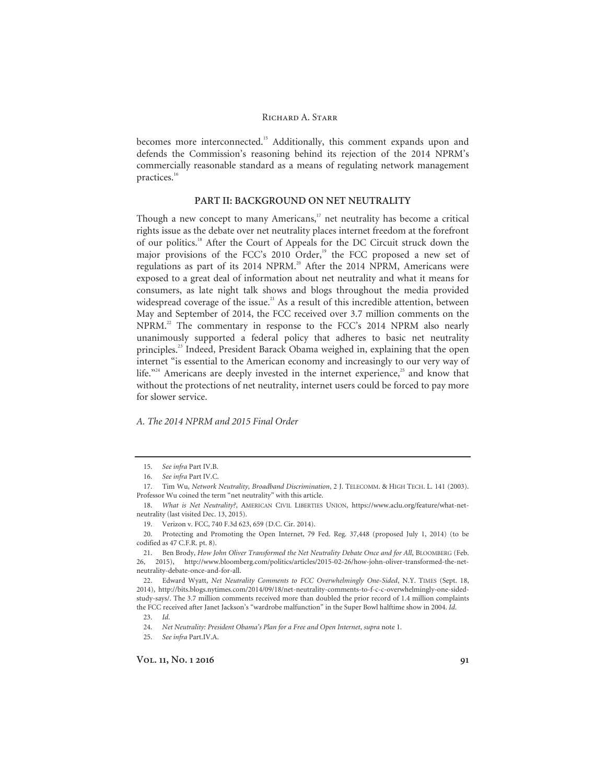becomes more interconnected.<sup>15</sup> Additionally, this comment expands upon and defends the Commission's reasoning behind its rejection of the 2014 NPRM's commercially reasonable standard as a means of regulating network management practices.16

## **PART II: BACKGROUND ON NET NEUTRALITY**

Though a new concept to many Americans, $17$  net neutrality has become a critical rights issue as the debate over net neutrality places internet freedom at the forefront of our politics.18 After the Court of Appeals for the DC Circuit struck down the major provisions of the FCC's 2010 Order,<sup>19</sup> the FCC proposed a new set of regulations as part of its 2014 NPRM.<sup>20</sup> After the 2014 NPRM, Americans were exposed to a great deal of information about net neutrality and what it means for consumers, as late night talk shows and blogs throughout the media provided widespread coverage of the issue.<sup>21</sup> As a result of this incredible attention, between May and September of 2014, the FCC received over 3.7 million comments on the NPRM.<sup>22</sup> The commentary in response to the FCC's 2014 NPRM also nearly unanimously supported a federal policy that adheres to basic net neutrality principles.<sup>23</sup> Indeed, President Barack Obama weighed in, explaining that the open internet "is essential to the American economy and increasingly to our very way of life."<sup>24</sup> Americans are deeply invested in the internet experience,<sup>25</sup> and know that without the protections of net neutrality, internet users could be forced to pay more for slower service.

## *A. The 2014 NPRM and 2015 Final Order*

24. *Net Neutrality: President Obama's Plan for a Free and Open Internet*, *supra* note 1.

25. *See infra* Part.IV.A.

<sup>15.</sup> *See infra* Part IV.B.

<sup>16.</sup> *See infra* Part IV.C.

 <sup>17.</sup> Tim Wu, *Network Neutrality, Broadband Discrimination*, 2 J. TELECOMM. & HIGH TECH. L. 141 (2003). Professor Wu coined the term "net neutrality" with this article.

<sup>18.</sup> *What is Net Neutrality?*, AMERICAN CIVIL LIBERTIES UNION, https://www.aclu.org/feature/what-netneutrality (last visited Dec. 13, 2015).

 <sup>19.</sup> Verizon v. FCC, 740 F.3d 623, 659 (D.C. Cir. 2014).

 <sup>20.</sup> Protecting and Promoting the Open Internet, 79 Fed. Reg. 37,448 (proposed July 1, 2014) (to be codified as 47 C.F.R. pt. 8).

 <sup>21.</sup> Ben Brody, *How John Oliver Transformed the Net Neutrality Debate Once and for All*, BLOOMBERG (Feb. 26, 2015), http://www.bloomberg.com/politics/articles/2015-02-26/how-john-oliver-transformed-the-netneutrality-debate-once-and-for-all.

 <sup>22.</sup> Edward Wyatt, *Net Neutrality Comments to FCC Overwhelmingly One-Sided*, N.Y. TIMES (Sept. 18, 2014), http://bits.blogs.nytimes.com/2014/09/18/net-neutrality-comments-to-f-c-c-overwhelmingly-one-sidedstudy-says/. The 3.7 million comments received more than doubled the prior record of 1.4 million complaints the FCC received after Janet Jackson's "wardrobe malfunction" in the Super Bowl halftime show in 2004. *Id*.

<sup>23.</sup> *Id*.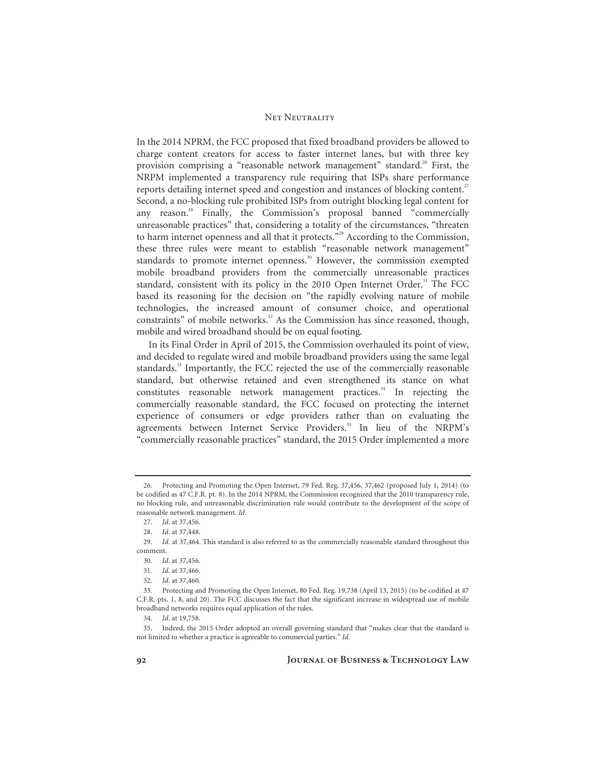In the 2014 NPRM, the FCC proposed that fixed broadband providers be allowed to charge content creators for access to faster internet lanes, but with three key provision comprising a "reasonable network management" standard.<sup>26</sup> First, the NRPM implemented a transparency rule requiring that ISPs share performance reports detailing internet speed and congestion and instances of blocking content.<sup>27</sup> Second, a no-blocking rule prohibited ISPs from outright blocking legal content for any reason.<sup>28</sup> Finally, the Commission's proposal banned "commercially unreasonable practices" that, considering a totality of the circumstances, "threaten to harm internet openness and all that it protects."<sup>29</sup> According to the Commission, these three rules were meant to establish "reasonable network management" standards to promote internet openness.<sup>30</sup> However, the commission exempted mobile broadband providers from the commercially unreasonable practices standard, consistent with its policy in the 2010 Open Internet Order.<sup>31</sup> The FCC based its reasoning for the decision on "the rapidly evolving nature of mobile technologies, the increased amount of consumer choice, and operational constraints" of mobile networks.<sup>32</sup> As the Commission has since reasoned, though, mobile and wired broadband should be on equal footing.

In its Final Order in April of 2015, the Commission overhauled its point of view, and decided to regulate wired and mobile broadband providers using the same legal standards.<sup>33</sup> Importantly, the FCC rejected the use of the commercially reasonable standard, but otherwise retained and even strengthened its stance on what constitutes reasonable network management practices.<sup>34</sup> In rejecting the commercially reasonable standard, the FCC focused on protecting the internet experience of consumers or edge providers rather than on evaluating the agreements between Internet Service Providers.<sup>35</sup> In lieu of the NRPM's "commercially reasonable practices" standard, the 2015 Order implemented a more

 <sup>26.</sup> Protecting and Promoting the Open Internet, 79 Fed. Reg. 37,456, 37,462 (proposed July 1, 2014) (to be codified as 47 C.F.R. pt. 8). In the 2014 NPRM, the Commission recognized that the 2010 transparency rule, no blocking rule, and unreasonable discrimination rule would contribute to the development of the scope of reasonable network management. *Id*.

<sup>27.</sup> *Id*. at 37,456.

<sup>28.</sup> *Id*. at 37,448.

<sup>29.</sup> *Id*. at 37,464. This standard is also referred to as the commercially reasonable standard throughout this comment.

<sup>30.</sup> *Id*. at 37,456.

<sup>31.</sup> *Id.* at 37,466.

<sup>32.</sup> *Id*. at 37,460.

 <sup>33.</sup> Protecting and Promoting the Open Internet, 80 Fed. Reg. 19,738 (April 13, 2015) (to be codified at 47 C.F.R. pts. 1, 8, and 20). The FCC discusses the fact that the significant increase in widespread use of mobile broadband networks requires equal application of the rules.

<sup>34.</sup> *Id*. at 19,758.

 <sup>35.</sup> Indeed, the 2015 Order adopted an overall governing standard that "makes clear that the standard is not limited to whether a practice is agreeable to commercial parties." *Id*.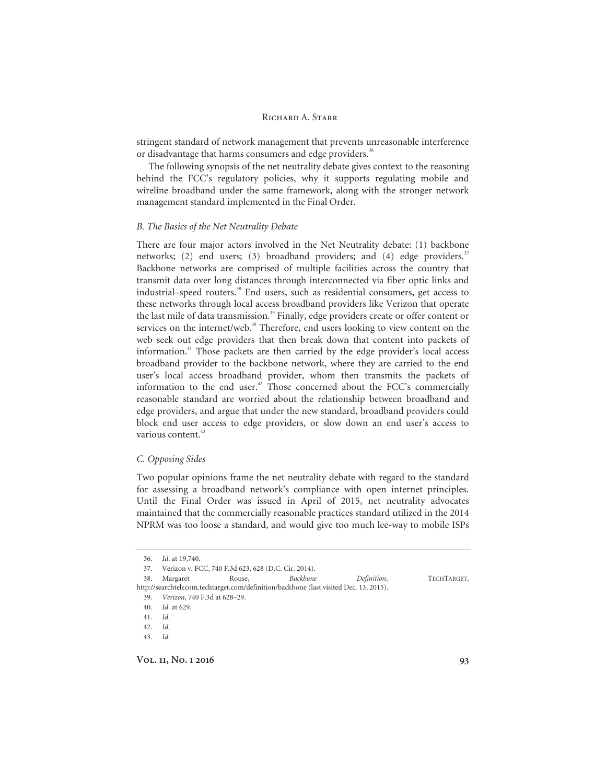stringent standard of network management that prevents unreasonable interference or disadvantage that harms consumers and edge providers.<sup>36</sup>

The following synopsis of the net neutrality debate gives context to the reasoning behind the FCC's regulatory policies, why it supports regulating mobile and wireline broadband under the same framework, along with the stronger network management standard implemented in the Final Order.

### *B. The Basics of the Net Neutrality Debate*

There are four major actors involved in the Net Neutrality debate: (1) backbone networks; (2) end users; (3) broadband providers; and (4) edge providers.<sup>37</sup> Backbone networks are comprised of multiple facilities across the country that transmit data over long distances through interconnected via fiber optic links and industrial–speed routers.<sup>38</sup> End users, such as residential consumers, get access to these networks through local access broadband providers like Verizon that operate the last mile of data transmission.<sup>39</sup> Finally, edge providers create or offer content or services on the internet/web.<sup>40</sup> Therefore, end users looking to view content on the web seek out edge providers that then break down that content into packets of information.41 Those packets are then carried by the edge provider's local access broadband provider to the backbone network, where they are carried to the end user's local access broadband provider, whom then transmits the packets of information to the end user.<sup>42</sup> Those concerned about the FCC's commercially reasonable standard are worried about the relationship between broadband and edge providers, and argue that under the new standard, broadband providers could block end user access to edge providers, or slow down an end user's access to various content.<sup>43</sup>

#### *C. Opposing Sides*

Two popular opinions frame the net neutrality debate with regard to the standard for assessing a broadband network's compliance with open internet principles. Until the Final Order was issued in April of 2015, net neutrality advocates maintained that the commercially reasonable practices standard utilized in the 2014 NPRM was too loose a standard, and would give too much lee-way to mobile ISPs

38. Margaret Rouse, *Backbone Definition*, TECHTARGET,

http://searchtelecom.techtarget.com/definition/backbone (last visited Dec. 13, 2015). 39. *Verizon*, 740 F.3d at 628–29.

<sup>36.</sup> *Id*. at 19,740.

 <sup>37.</sup> Verizon v. FCC, 740 F.3d 623, 628 (D.C. Cir. 2014).

<sup>40.</sup> *Id*. at 629.

<sup>41.</sup> *Id*.

<sup>42.</sup> *Id*.

<sup>43.</sup> *Id*.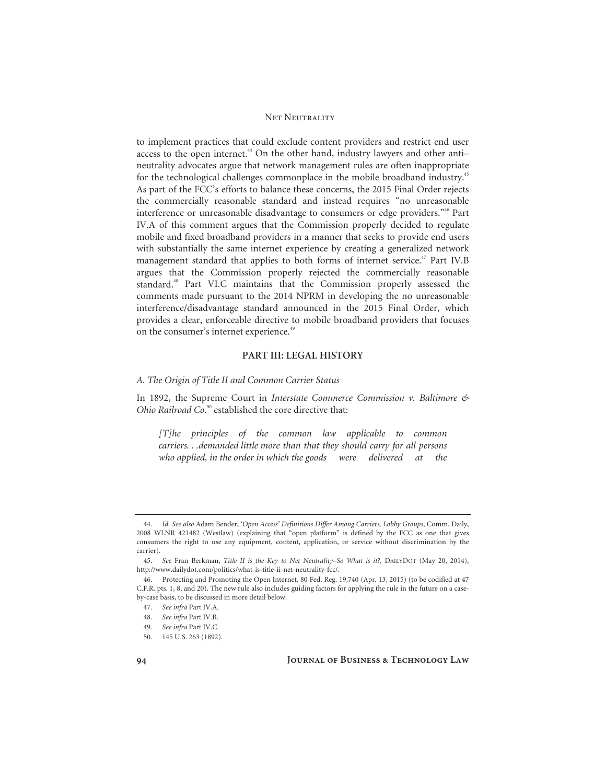to implement practices that could exclude content providers and restrict end user access to the open internet.<sup>44</sup> On the other hand, industry lawyers and other antineutrality advocates argue that network management rules are often inappropriate for the technological challenges commonplace in the mobile broadband industry.<sup>45</sup> As part of the FCC's efforts to balance these concerns, the 2015 Final Order rejects the commercially reasonable standard and instead requires "no unreasonable interference or unreasonable disadvantage to consumers or edge providers."<sup>46</sup> Part IV.A of this comment argues that the Commission properly decided to regulate mobile and fixed broadband providers in a manner that seeks to provide end users with substantially the same internet experience by creating a generalized network management standard that applies to both forms of internet service.<sup>47</sup> Part IV.B argues that the Commission properly rejected the commercially reasonable standard.48 Part VI.C maintains that the Commission properly assessed the comments made pursuant to the 2014 NPRM in developing the no unreasonable interference/disadvantage standard announced in the 2015 Final Order, which provides a clear, enforceable directive to mobile broadband providers that focuses on the consumer's internet experience.<sup>49</sup>

#### **PART III: LEGAL HISTORY**

## *A. The Origin of Title II and Common Carrier Status*

In 1892, the Supreme Court in *Interstate Commerce Commission v. Baltimore & Ohio Railroad Co*. 50 established the core directive that:

*[T]he principles of the common law applicable to common carriers. . .demanded little more than that they should carry for all persons who applied, in the order in which the goods were delivered at the* 

<sup>44.</sup> *Id*. *See also* Adam Bender, '*Open Access' Definitions Differ Among Carriers, Lobby Groups*, Comm. Daily, 2008 WLNR 421482 (Westlaw) (explaining that "open platform" is defined by the FCC as one that gives consumers the right to use any equipment, content, application, or service without discrimination by the carrier).

<sup>45.</sup> *See* Fran Berkman, *Title II is the Key to Net Neutrality–So What is it?*, DAILYDOT (May 20, 2014), http://www.dailydot.com/politics/what-is-title-ii-net-neutrality-fcc/.

 <sup>46.</sup> Protecting and Promoting the Open Internet, 80 Fed. Reg. 19,740 (Apr. 13, 2015) (to be codified at 47 C.F.R. pts. 1, 8, and 20). The new rule also includes guiding factors for applying the rule in the future on a caseby-case basis, to be discussed in more detail below.

<sup>47.</sup> *See infra* Part IV.A.

<sup>48.</sup> *See infra* Part IV.B.

<sup>49.</sup> *See infra* Part IV.C.

 <sup>50. 145</sup> U.S. 263 (1892).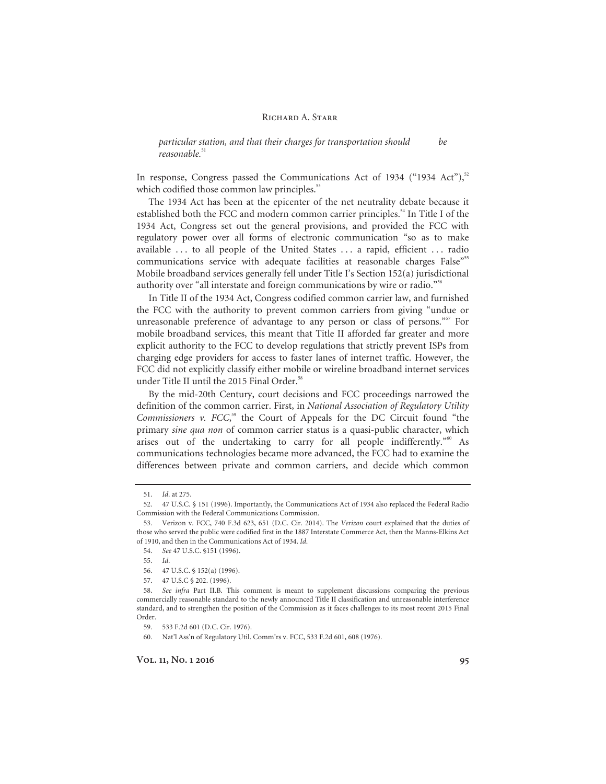*particular station, and that their charges for transportation should be*  reasonable.<sup>51</sup>

In response, Congress passed the Communications Act of 1934 ("1934 Act"), $^{52}$ which codified those common law principles.<sup>53</sup>

The 1934 Act has been at the epicenter of the net neutrality debate because it established both the FCC and modern common carrier principles.<sup>54</sup> In Title I of the 1934 Act, Congress set out the general provisions, and provided the FCC with regulatory power over all forms of electronic communication "so as to make available ... to all people of the United States ... a rapid, efficient ... radio communications service with adequate facilities at reasonable charges False<sup>"55</sup> Mobile broadband services generally fell under Title I's Section 152(a) jurisdictional authority over "all interstate and foreign communications by wire or radio."<sup>56</sup>

In Title II of the 1934 Act, Congress codified common carrier law, and furnished the FCC with the authority to prevent common carriers from giving "undue or unreasonable preference of advantage to any person or class of persons."<sup>57</sup> For mobile broadband services, this meant that Title II afforded far greater and more explicit authority to the FCC to develop regulations that strictly prevent ISPs from charging edge providers for access to faster lanes of internet traffic. However, the FCC did not explicitly classify either mobile or wireline broadband internet services under Title II until the 2015 Final Order.<sup>58</sup>

By the mid-20th Century, court decisions and FCC proceedings narrowed the definition of the common carrier. First, in *National Association of Regulatory Utility*  Commissioners v. FCC,<sup>59</sup> the Court of Appeals for the DC Circuit found "the primary *sine qua non* of common carrier status is a quasi-public character, which arises out of the undertaking to carry for all people indifferently."<sup>60</sup> As communications technologies became more advanced, the FCC had to examine the differences between private and common carriers, and decide which common

<sup>51.</sup> *Id*. at 275.

 <sup>52. 47</sup> U.S.C. § 151 (1996). Importantly, the Communications Act of 1934 also replaced the Federal Radio Commission with the Federal Communications Commission.

 <sup>53.</sup> Verizon v. FCC, 740 F.3d 623, 651 (D.C. Cir. 2014). The *Verizon* court explained that the duties of those who served the public were codified first in the 1887 Interstate Commerce Act, then the Manns-Elkins Act of 1910, and then in the Communications Act of 1934. *Id*.

<sup>54.</sup> *See* 47 U.S.C. §151 (1996).

<sup>55.</sup> *Id*.

 <sup>56. 47</sup> U.S.C. § 152(a) (1996).

 <sup>57. 47</sup> U.S.C § 202. (1996).

<sup>58.</sup> *See infra* Part II.B. This comment is meant to supplement discussions comparing the previous commercially reasonable standard to the newly announced Title II classification and unreasonable interference standard, and to strengthen the position of the Commission as it faces challenges to its most recent 2015 Final Order.

 <sup>59. 533</sup> F.2d 601 (D.C. Cir. 1976).

 <sup>60.</sup> Nat'l Ass'n of Regulatory Util. Comm'rs v. FCC, 533 F.2d 601, 608 (1976).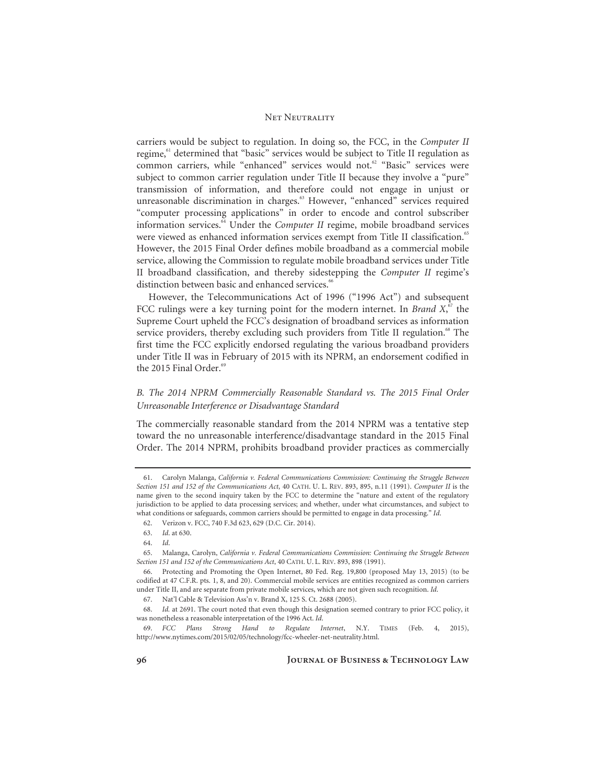carriers would be subject to regulation. In doing so, the FCC, in the *Computer II* regime,<sup>61</sup> determined that "basic" services would be subject to Title II regulation as common carriers, while "enhanced" services would not.<sup>62</sup> "Basic" services were subject to common carrier regulation under Title II because they involve a "pure" transmission of information, and therefore could not engage in unjust or unreasonable discrimination in charges.<sup>63</sup> However, "enhanced" services required "computer processing applications" in order to encode and control subscriber information services.<sup>64</sup> Under the *Computer II* regime, mobile broadband services were viewed as enhanced information services exempt from Title II classification.<sup>65</sup> However, the 2015 Final Order defines mobile broadband as a commercial mobile service, allowing the Commission to regulate mobile broadband services under Title II broadband classification, and thereby sidestepping the *Computer II* regime's distinction between basic and enhanced services.<sup>66</sup>

However, the Telecommunications Act of 1996 ("1996 Act") and subsequent FCC rulings were a key turning point for the modern internet. In *Brand*  $X$ ,  $\sigma$ <sup>*s*</sup> the Supreme Court upheld the FCC's designation of broadband services as information service providers, thereby excluding such providers from Title II regulation.<sup>68</sup> The first time the FCC explicitly endorsed regulating the various broadband providers under Title II was in February of 2015 with its NPRM, an endorsement codified in the 2015 Final Order. $69$ 

## *B. The 2014 NPRM Commercially Reasonable Standard vs. The 2015 Final Order Unreasonable Interference or Disadvantage Standard*

The commercially reasonable standard from the 2014 NPRM was a tentative step toward the no unreasonable interference/disadvantage standard in the 2015 Final Order. The 2014 NPRM, prohibits broadband provider practices as commercially

 <sup>61.</sup> Carolyn Malanga, *California v. Federal Communications Commission: Continuing the Struggle Between Section 151 and 152 of the Communications Act*, 40 CATH. U. L. REV. 893, 895, n.11 (1991). *Computer II* is the name given to the second inquiry taken by the FCC to determine the "nature and extent of the regulatory jurisdiction to be applied to data processing services; and whether, under what circumstances, and subject to what conditions or safeguards, common carriers should be permitted to engage in data processing." *Id*.

 <sup>62.</sup> Verizon v. FCC, 740 F.3d 623, 629 (D.C. Cir. 2014).

<sup>63.</sup> *Id*. at 630.

<sup>64.</sup> *Id*.

 <sup>65.</sup> Malanga, Carolyn, *California v. Federal Communications Commission: Continuing the Struggle Between Section 151 and 152 of the Communications Act*, 40 CATH. U. L. REV. 893, 898 (1991).

 <sup>66.</sup> Protecting and Promoting the Open Internet, 80 Fed. Reg. 19,800 (proposed May 13, 2015) (to be codified at 47 C.F.R. pts. 1, 8, and 20). Commercial mobile services are entities recognized as common carriers under Title II, and are separate from private mobile services, which are not given such recognition. *Id*.

 <sup>67.</sup> Nat'l Cable & Television Ass'n v. Brand X, 125 S. Ct. 2688 (2005).

<sup>68.</sup> *Id.* at 2691. The court noted that even though this designation seemed contrary to prior FCC policy, it was nonetheless a reasonable interpretation of the 1996 Act. *Id*.

<sup>69.</sup> *FCC Plans Strong Hand to Regulate Internet*, N.Y. TIMES (Feb. 4, 2015), http://www.nytimes.com/2015/02/05/technology/fcc-wheeler-net-neutrality.html.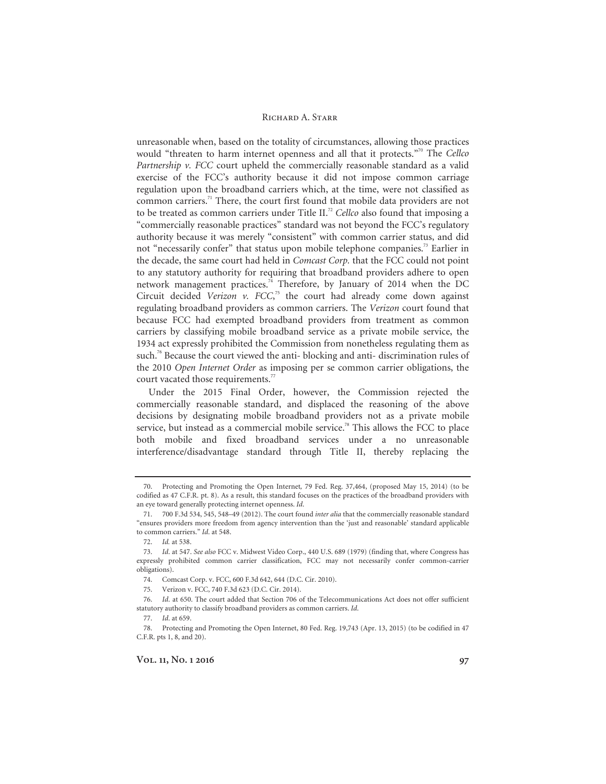unreasonable when, based on the totality of circumstances, allowing those practices would "threaten to harm internet openness and all that it protects."70 The *Cellco Partnership v. FCC* court upheld the commercially reasonable standard as a valid exercise of the FCC's authority because it did not impose common carriage regulation upon the broadband carriers which, at the time, were not classified as common carriers.71 There, the court first found that mobile data providers are not to be treated as common carriers under Title II.<sup>72</sup> Cellco also found that imposing a "commercially reasonable practices" standard was not beyond the FCC's regulatory authority because it was merely "consistent" with common carrier status, and did not "necessarily confer" that status upon mobile telephone companies.<sup>73</sup> Earlier in the decade, the same court had held in *Comcast Corp.* that the FCC could not point to any statutory authority for requiring that broadband providers adhere to open network management practices.<sup>74</sup> Therefore, by January of 2014 when the DC Circuit decided *Verizon v. FCC*, 75 the court had already come down against regulating broadband providers as common carriers. The *Verizon* court found that because FCC had exempted broadband providers from treatment as common carriers by classifying mobile broadband service as a private mobile service, the 1934 act expressly prohibited the Commission from nonetheless regulating them as such.<sup>76</sup> Because the court viewed the anti- blocking and anti- discrimination rules of the 2010 *Open Internet Order* as imposing per se common carrier obligations, the court vacated those requirements.<sup>77</sup>

Under the 2015 Final Order, however, the Commission rejected the commercially reasonable standard, and displaced the reasoning of the above decisions by designating mobile broadband providers not as a private mobile service, but instead as a commercial mobile service.<sup>78</sup> This allows the FCC to place both mobile and fixed broadband services under a no unreasonable interference/disadvantage standard through Title II, thereby replacing the

 <sup>70.</sup> Protecting and Promoting the Open Internet*,* 79 Fed. Reg. 37,464, (proposed May 15, 2014) (to be codified as 47 C.F.R. pt. 8). As a result, this standard focuses on the practices of the broadband providers with an eye toward generally protecting internet openness. *Id*.

 <sup>71. 700</sup> F.3d 534, 545, 548–49 (2012). The court found *inter alia* that the commercially reasonable standard "ensures providers more freedom from agency intervention than the 'just and reasonable' standard applicable to common carriers." *Id*. at 548.

<sup>72.</sup> *Id.* at 538.

<sup>73.</sup> *Id*. at 547. *See also* FCC v. Midwest Video Corp., 440 U.S. 689 (1979) (finding that, where Congress has expressly prohibited common carrier classification, FCC may not necessarily confer common-carrier obligations).

 <sup>74.</sup> Comcast Corp. v. FCC, 600 F.3d 642, 644 (D.C. Cir. 2010).

 <sup>75.</sup> Verizon v. FCC, 740 F.3d 623 (D.C. Cir. 2014).

<sup>76.</sup> *Id*. at 650. The court added that Section 706 of the Telecommunications Act does not offer sufficient statutory authority to classify broadband providers as common carriers. *Id*.

<sup>77.</sup> *Id*. at 659.

 <sup>78.</sup> Protecting and Promoting the Open Internet, 80 Fed. Reg. 19,743 (Apr. 13, 2015) (to be codified in 47 C.F.R. pts 1, 8, and 20).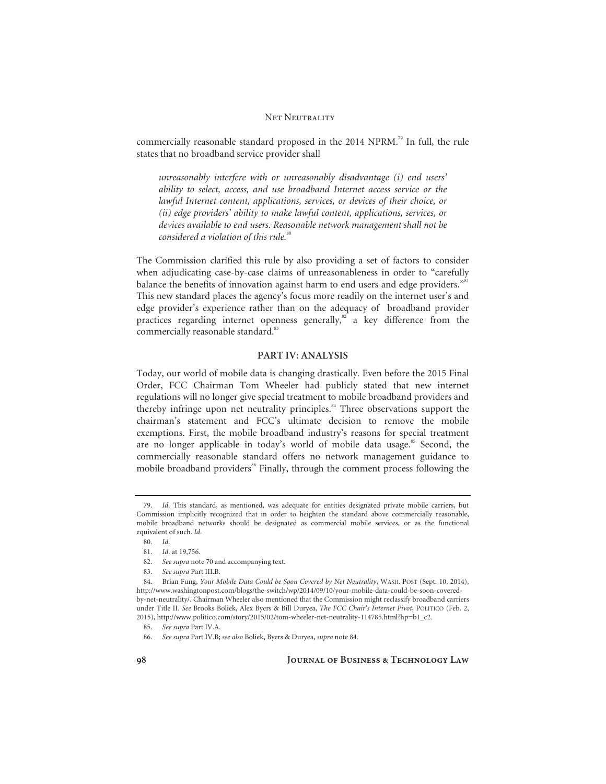commercially reasonable standard proposed in the 2014 NPRM.<sup>79</sup> In full, the rule states that no broadband service provider shall

*unreasonably interfere with or unreasonably disadvantage (i) end users' ability to select, access, and use broadband Internet access service or the lawful Internet content, applications, services, or devices of their choice, or (ii) edge providers' ability to make lawful content, applications, services, or devices available to end users. Reasonable network management shall not be considered a violation of this rule.*<sup>80</sup>

The Commission clarified this rule by also providing a set of factors to consider when adjudicating case-by-case claims of unreasonableness in order to "carefully balance the benefits of innovation against harm to end users and edge providers."<sup>81</sup> This new standard places the agency's focus more readily on the internet user's and edge provider's experience rather than on the adequacy of broadband provider practices regarding internet openness generally, $82$  a key difference from the commercially reasonable standard.<sup>83</sup>

### **PART IV: ANALYSIS**

Today, our world of mobile data is changing drastically. Even before the 2015 Final Order, FCC Chairman Tom Wheeler had publicly stated that new internet regulations will no longer give special treatment to mobile broadband providers and thereby infringe upon net neutrality principles.<sup>84</sup> Three observations support the chairman's statement and FCC's ultimate decision to remove the mobile exemptions. First, the mobile broadband industry's reasons for special treatment are no longer applicable in today's world of mobile data usage.<sup>85</sup> Second, the commercially reasonable standard offers no network management guidance to mobile broadband providers<sup>86</sup> Finally, through the comment process following the

<sup>79.</sup> *Id*. This standard, as mentioned, was adequate for entities designated private mobile carriers, but Commission implicitly recognized that in order to heighten the standard above commercially reasonable, mobile broadband networks should be designated as commercial mobile services, or as the functional equivalent of such. *Id*.

<sup>80.</sup> *Id*.

<sup>81.</sup> *Id*. at 19,756.

<sup>82.</sup> *See supra* note 70 and accompanying text.

<sup>83.</sup> *See supra* Part III.B.

 <sup>84.</sup> Brian Fung, *Your Mobile Data Could be Soon Covered by Net Neutrality*, WASH. POST (Sept. 10, 2014), http://www.washingtonpost.com/blogs/the-switch/wp/2014/09/10/your-mobile-data-could-be-soon-coveredby-net-neutrality/. Chairman Wheeler also mentioned that the Commission might reclassify broadband carriers under Title II. *See* Brooks Boliek, Alex Byers & Bill Duryea, *The FCC Chair's Internet Pivot*, POLITICO (Feb. 2, 2015), http://www.politico.com/story/2015/02/tom-wheeler-net-neutrality-114785.html?hp=b1\_c2.

<sup>85.</sup> *See supra* Part IV.A.

<sup>86.</sup> *See supra* Part IV.B; *see also* Boliek, Byers & Duryea, *supra* note 84.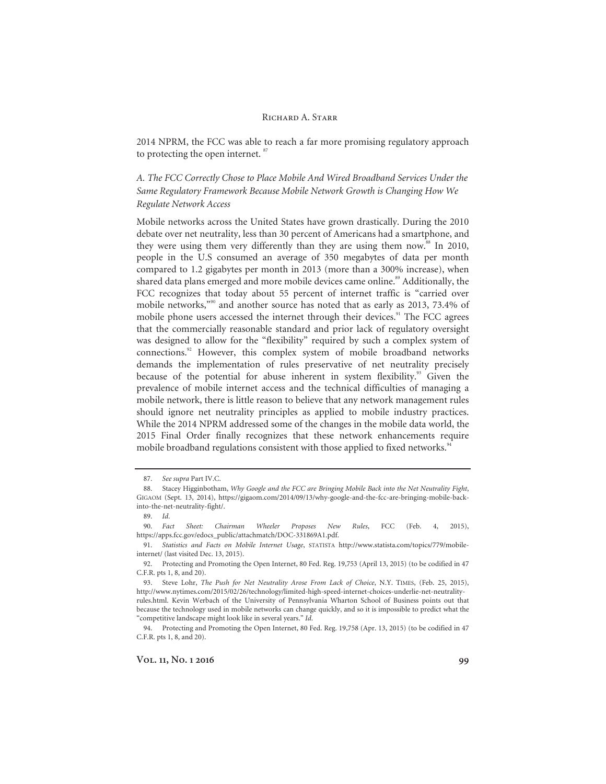2014 NPRM, the FCC was able to reach a far more promising regulatory approach to protecting the open internet.<sup>87</sup>

*A. The FCC Correctly Chose to Place Mobile And Wired Broadband Services Under the Same Regulatory Framework Because Mobile Network Growth is Changing How We Regulate Network Access* 

Mobile networks across the United States have grown drastically. During the 2010 debate over net neutrality, less than 30 percent of Americans had a smartphone, and they were using them very differently than they are using them now.<sup>88</sup> In 2010, people in the U.S consumed an average of 350 megabytes of data per month compared to 1.2 gigabytes per month in 2013 (more than a 300% increase), when shared data plans emerged and more mobile devices came online.<sup>89</sup> Additionally, the FCC recognizes that today about 55 percent of internet traffic is "carried over mobile networks,"90 and another source has noted that as early as 2013, 73.4% of mobile phone users accessed the internet through their devices.<sup>91</sup> The FCC agrees that the commercially reasonable standard and prior lack of regulatory oversight was designed to allow for the "flexibility" required by such a complex system of connections.92 However, this complex system of mobile broadband networks demands the implementation of rules preservative of net neutrality precisely because of the potential for abuse inherent in system flexibility.<sup>93</sup> Given the prevalence of mobile internet access and the technical difficulties of managing a mobile network, there is little reason to believe that any network management rules should ignore net neutrality principles as applied to mobile industry practices. While the 2014 NPRM addressed some of the changes in the mobile data world, the 2015 Final Order finally recognizes that these network enhancements require mobile broadband regulations consistent with those applied to fixed networks.<sup>94</sup>

<sup>87.</sup> *See supra* Part IV.C.

 <sup>88.</sup> Stacey Higginbotham, *Why Google and the FCC are Bringing Mobile Back into the Net Neutrality Fight*, GIGAOM (Sept. 13, 2014), https://gigaom.com/2014/09/13/why-google-and-the-fcc-are-bringing-mobile-backinto-the-net-neutrality-fight/.

<sup>89.</sup> *Id*.

<sup>90.</sup> *Fact Sheet: Chairman Wheeler Proposes New Rules*, FCC (Feb. 4, 2015), https://apps.fcc.gov/edocs\_public/attachmatch/DOC-331869A1.pdf.

 <sup>91.</sup> *Statistics and Facts on Mobile Internet Usage*, STATISTA http://www.statista.com/topics/779/mobileinternet/ (last visited Dec. 13, 2015).

 <sup>92.</sup> Protecting and Promoting the Open Internet, 80 Fed. Reg. 19,753 (April 13, 2015) (to be codified in 47 C.F.R. pts 1, 8, and 20).

 <sup>93.</sup> Steve Lohr, *The Push for Net Neutrality Arose From Lack of Choice*, N.Y. TIMES, (Feb. 25, 2015), http://www.nytimes.com/2015/02/26/technology/limited-high-speed-internet-choices-underlie-net-neutralityrules.html. Kevin Werbach of the University of Pennsylvania Wharton School of Business points out that because the technology used in mobile networks can change quickly, and so it is impossible to predict what the "competitive landscape might look like in several years." *Id*.

 <sup>94.</sup> Protecting and Promoting the Open Internet, 80 Fed. Reg. 19,758 (Apr. 13, 2015) (to be codified in 47 C.F.R. pts 1, 8, and 20).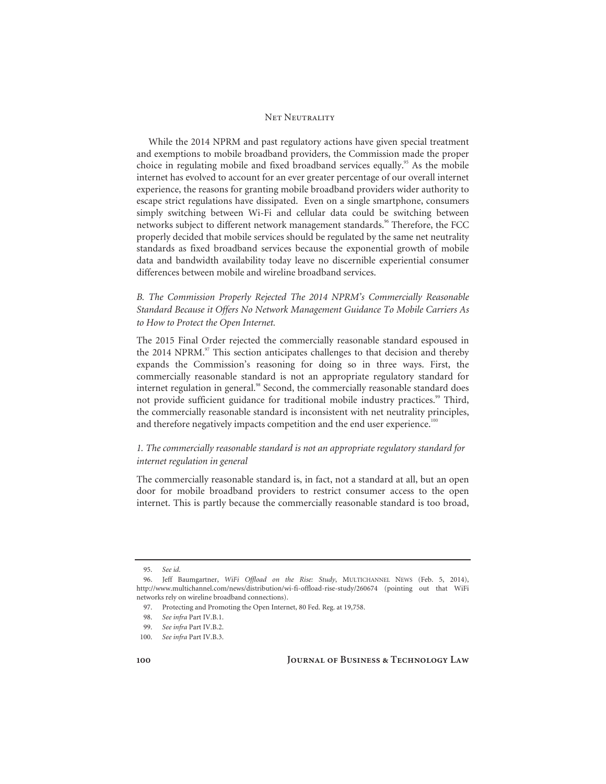While the 2014 NPRM and past regulatory actions have given special treatment and exemptions to mobile broadband providers, the Commission made the proper choice in regulating mobile and fixed broadband services equally.<sup>95</sup> As the mobile internet has evolved to account for an ever greater percentage of our overall internet experience, the reasons for granting mobile broadband providers wider authority to escape strict regulations have dissipated. Even on a single smartphone, consumers simply switching between Wi-Fi and cellular data could be switching between networks subject to different network management standards.<sup>96</sup> Therefore, the FCC properly decided that mobile services should be regulated by the same net neutrality standards as fixed broadband services because the exponential growth of mobile data and bandwidth availability today leave no discernible experiential consumer differences between mobile and wireline broadband services.

# *B. The Commission Properly Rejected The 2014 NPRM's Commercially Reasonable Standard Because it Offers No Network Management Guidance To Mobile Carriers As to How to Protect the Open Internet.*

The 2015 Final Order rejected the commercially reasonable standard espoused in the 2014 NPRM. $\degree$  This section anticipates challenges to that decision and thereby expands the Commission's reasoning for doing so in three ways. First, the commercially reasonable standard is not an appropriate regulatory standard for internet regulation in general.<sup>98</sup> Second, the commercially reasonable standard does not provide sufficient guidance for traditional mobile industry practices.<sup>99</sup> Third, the commercially reasonable standard is inconsistent with net neutrality principles, and therefore negatively impacts competition and the end user experience.<sup>100</sup>

# *1. The commercially reasonable standard is not an appropriate regulatory standard for internet regulation in general*

The commercially reasonable standard is, in fact, not a standard at all, but an open door for mobile broadband providers to restrict consumer access to the open internet. This is partly because the commercially reasonable standard is too broad,

<sup>95.</sup> *See id*.

 <sup>96.</sup> Jeff Baumgartner, *WiFi Offload on the Rise: Study*, MULTICHANNEL NEWS (Feb. 5, 2014), http://www.multichannel.com/news/distribution/wi-fi-offload-rise-study/260674 (pointing out that WiFi networks rely on wireline broadband connections).

 <sup>97.</sup> Protecting and Promoting the Open Internet, 80 Fed. Reg. at 19,758.

<sup>98.</sup> See infra Part IV.B.1.

<sup>99.</sup> *See infra* Part IV.B.2.

<sup>100.</sup> *See infra* Part IV.B.3.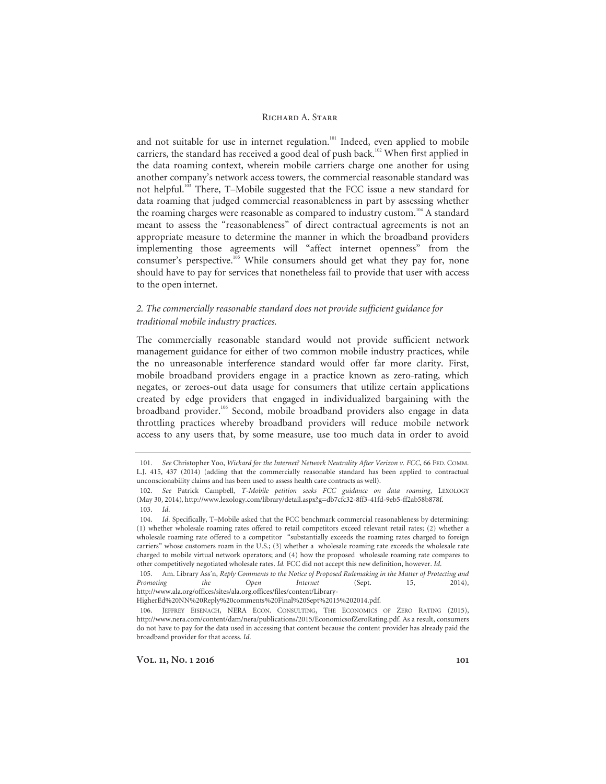and not suitable for use in internet regulation.<sup>101</sup> Indeed, even applied to mobile carriers, the standard has received a good deal of push back.<sup>102</sup> When first applied in the data roaming context, wherein mobile carriers charge one another for using another company's network access towers, the commercial reasonable standard was not helpful.<sup>103</sup> There, T-Mobile suggested that the FCC issue a new standard for data roaming that judged commercial reasonableness in part by assessing whether the roaming charges were reasonable as compared to industry custom.<sup>104</sup> A standard meant to assess the "reasonableness" of direct contractual agreements is not an appropriate measure to determine the manner in which the broadband providers implementing those agreements will "affect internet openness" from the consumer's perspective.<sup>105</sup> While consumers should get what they pay for, none should have to pay for services that nonetheless fail to provide that user with access to the open internet.

# *2. The commercially reasonable standard does not provide sufficient guidance for traditional mobile industry practices.*

The commercially reasonable standard would not provide sufficient network management guidance for either of two common mobile industry practices, while the no unreasonable interference standard would offer far more clarity. First, mobile broadband providers engage in a practice known as zero-rating, which negates, or zeroes-out data usage for consumers that utilize certain applications created by edge providers that engaged in individualized bargaining with the broadband provider.106 Second, mobile broadband providers also engage in data throttling practices whereby broadband providers will reduce mobile network access to any users that, by some measure, use too much data in order to avoid

<sup>101.</sup> *See* Christopher Yoo, *Wickard for the Internet? Network Neutrality After Verizon v. FCC*, 66 FED. COMM. L.J. 415, 437 (2014) (adding that the commercially reasonable standard has been applied to contractual unconscionability claims and has been used to assess health care contracts as well).

<sup>102.</sup> *See* Patrick Campbell, *T-Mobile petition seeks FCC guidance on data roaming*, LEXOLOGY (May 30, 2014), http://www.lexology.com/library/detail.aspx?g=db7cfc32-8ff3-41fd-9eb5-ff2ab58b878f. 103. *Id*.

<sup>104.</sup> *Id*. Specifically, T–Mobile asked that the FCC benchmark commercial reasonableness by determining: (1) whether wholesale roaming rates offered to retail competitors exceed relevant retail rates; (2) whether a wholesale roaming rate offered to a competitor "substantially exceeds the roaming rates charged to foreign carriers" whose customers roam in the U.S.; (3) whether a wholesale roaming rate exceeds the wholesale rate charged to mobile virtual network operators; and (4) how the proposed wholesale roaming rate compares to other competitively negotiated wholesale rates. *Id.* FCC did not accept this new definition, however. *Id*.

 <sup>105.</sup> Am. Library Ass'n, *Reply Comments to the Notice of Proposed Rulemaking in the Matter of Protecting and Promoting the Open Internet* (Sept. 15, 2014), http://www.ala.org/offices/sites/ala.org.offices/files/content/Library-

HigherEd%20NN%20Reply%20comments%20Final%20Sept%2015%202014.pdf.

 <sup>106.</sup> JEFFREY EISENACH, NERA ECON. CONSULTING, THE ECONOMICS OF ZERO RATING (2015), http://www.nera.com/content/dam/nera/publications/2015/EconomicsofZeroRating.pdf. As a result, consumers do not have to pay for the data used in accessing that content because the content provider has already paid the broadband provider for that access. *Id*.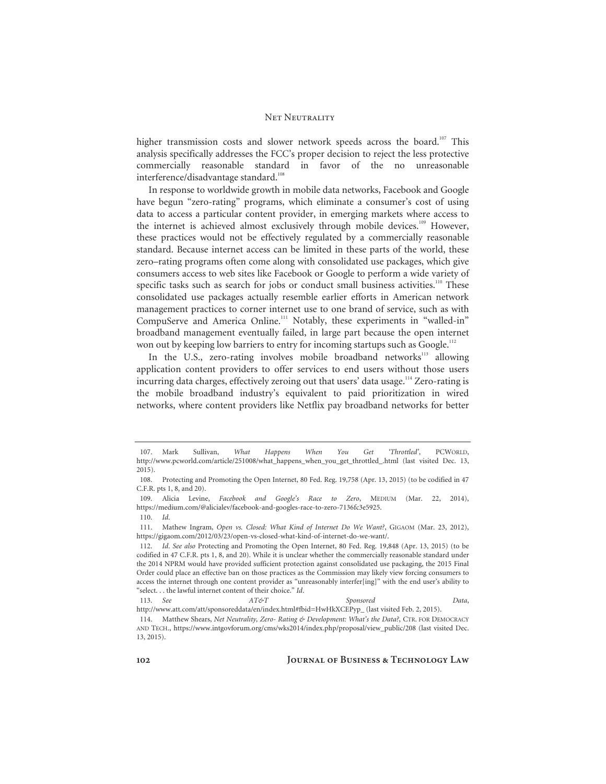higher transmission costs and slower network speeds across the board.<sup>107</sup> This analysis specifically addresses the FCC's proper decision to reject the less protective commercially reasonable standard in favor of the no unreasonable interference/disadvantage standard.<sup>108</sup>

In response to worldwide growth in mobile data networks, Facebook and Google have begun "zero-rating" programs, which eliminate a consumer's cost of using data to access a particular content provider, in emerging markets where access to the internet is achieved almost exclusively through mobile devices.<sup>109</sup> However, these practices would not be effectively regulated by a commercially reasonable standard. Because internet access can be limited in these parts of the world, these zero–rating programs often come along with consolidated use packages, which give consumers access to web sites like Facebook or Google to perform a wide variety of specific tasks such as search for jobs or conduct small business activities.<sup>110</sup> These consolidated use packages actually resemble earlier efforts in American network management practices to corner internet use to one brand of service, such as with CompuServe and America Online.<sup>111</sup> Notably, these experiments in "walled-in" broadband management eventually failed, in large part because the open internet won out by keeping low barriers to entry for incoming startups such as Google.<sup>112</sup>

In the U.S., zero-rating involves mobile broadband networks $^{113}$  allowing application content providers to offer services to end users without those users incurring data charges, effectively zeroing out that users' data usage.<sup>114</sup> Zero-rating is the mobile broadband industry's equivalent to paid prioritization in wired networks, where content providers like Netflix pay broadband networks for better

 <sup>107.</sup> Mark Sullivan, *What Happens When You Get 'Throttled'*, PCWORLD, http://www.pcworld.com/article/251008/what\_happens\_when\_you\_get\_throttled\_.html (last visited Dec. 13, 2015).

 <sup>108.</sup> Protecting and Promoting the Open Internet, 80 Fed. Reg. 19,758 (Apr. 13, 2015) (to be codified in 47 C.F.R. pts 1, 8, and 20).

 <sup>109.</sup> Alicia Levine, *Facebook and Google's Race to Zero*, MEDIUM (Mar. 22, 2014), https://medium.com/@alicialev/facebook-and-googles-race-to-zero-7136fc3e5925. 110. *Id*.

 <sup>111.</sup> Mathew Ingram, *Open vs. Closed: What Kind of Internet Do We Want?*, GIGAOM (Mar. 23, 2012), https://gigaom.com/2012/03/23/open-vs-closed-what-kind-of-internet-do-we-want/.

<sup>112.</sup> *Id*. *See also* Protecting and Promoting the Open Internet, 80 Fed. Reg. 19,848 (Apr. 13, 2015) (to be codified in 47 C.F.R. pts 1, 8, and 20). While it is unclear whether the commercially reasonable standard under the 2014 NPRM would have provided sufficient protection against consolidated use packaging, the 2015 Final Order could place an effective ban on those practices as the Commission may likely view forcing consumers to access the internet through one content provider as "unreasonably interfer[ing]" with the end user's ability to "select. . . the lawful internet content of their choice." *Id*.

<sup>113.</sup> *See AT&T Sponsored Data*, http://www.att.com/att/sponsoreddata/en/index.html#fbid=HwHkXCEPyp\_ (last visited Feb. 2, 2015).

 <sup>114.</sup> Matthew Shears, *Net Neutrality, Zero- Rating & Development: What's the Data?*, CTR. FOR DEMOCRACY AND TECH., https://www.intgovforum.org/cms/wks2014/index.php/proposal/view\_public/208 (last visited Dec. 13, 2015).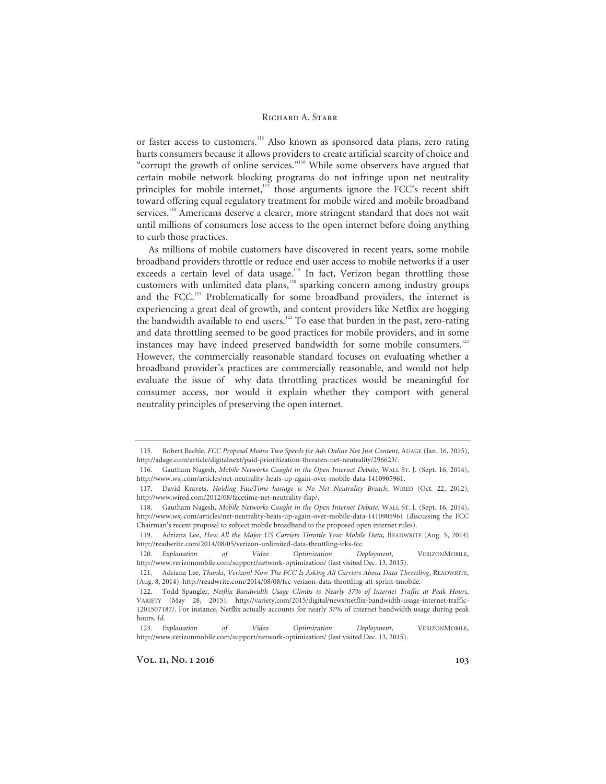or faster access to customers.<sup>115</sup> Also known as sponsored data plans, zero rating hurts consumers because it allows providers to create artificial scarcity of choice and "corrupt the growth of online services."116 While some observers have argued that certain mobile network blocking programs do not infringe upon net neutrality principles for mobile internet, $117$  those arguments ignore the FCC's recent shift toward offering equal regulatory treatment for mobile wired and mobile broadband services.<sup>118</sup> Americans deserve a clearer, more stringent standard that does not wait until millions of consumers lose access to the open internet before doing anything to curb those practices.

As millions of mobile customers have discovered in recent years, some mobile broadband providers throttle or reduce end user access to mobile networks if a user exceeds a certain level of data usage.<sup>119</sup> In fact, Verizon began throttling those customers with unlimited data plans,120 sparking concern among industry groups and the FCC.<sup>121</sup> Problematically for some broadband providers, the internet is experiencing a great deal of growth, and content providers like Netflix are hogging the bandwidth available to end users.<sup>122</sup> To ease that burden in the past, zero-rating and data throttling seemed to be good practices for mobile providers, and in some instances may have indeed preserved bandwidth for some mobile consumers.<sup>123</sup> However, the commercially reasonable standard focuses on evaluating whether a broadband provider's practices are commercially reasonable, and would not help evaluate the issue of why data throttling practices would be meaningful for consumer access, nor would it explain whether they comport with general neutrality principles of preserving the open internet.

 <sup>115.</sup> Robert Bachle, *FCC Proposal Means Two Speeds for Ads Online Not Just Content*, ADAGE (Jan. 16, 2015), http://adage.com/article/digitalnext/paid-prioritization-threaten-net-neutrality/296623/.

 <sup>116.</sup> Gautham Nagesh, *Mobile Networks Caught in the Open Internet Debate*, WALL ST. J. (Sept. 16, 2014), http://www.wsj.com/articles/net-neutrality-heats-up-again-over-mobile-data-1410905961.

 <sup>117.</sup> David Kravets, *Holding FaceTime hostage is No Net Neutrality Breach*, WIRED (Oct. 22, 2012), http://www.wired.com/2012/08/facetime-net-neutrality-flap/.

 <sup>118.</sup> Gautham Nagesh, *Mobile Networks Caught in the Open Internet Debate*, WALL ST. J. (Sept. 16, 2014), http://www.wsj.com/articles/net-neutrality-heats-up-again-over-mobile-data-1410905961 (discussing the FCC Chairman's recent proposal to subject mobile broadband to the proposed open internet rules).

 <sup>119.</sup> Adriana Lee, *How All the Major US Carriers Throttle Your Mobile Data*, READWRITE (Aug. 5, 2014) http://readwrite.com/2014/08/05/verizon-unlimited-data-throttling-irks-fcc.

<sup>120.</sup> *Explanation of Video Optimization Deployment*, VERIZONMOBILE, http://www.verizonmobile.com/support/network-optimization/ (last visited Dec. 13, 2015).

 <sup>121.</sup> Adriana Lee, *Thanks, Verizon! Now The FCC Is Asking All Carriers About Data Throttling*, READWRITE, (Aug. 8, 2014), http://readwrite.com/2014/08/08/fcc-verizon-data-throttling-att-sprint-tmobile.

 <sup>122.</sup> Todd Spangler, *Netflix Bandwidth Usage Climbs to Nearly 37% of Internet Traffic at Peak Hours*, VARIETY (May 28, 2015), http://variety.com/2015/digital/news/netflix-bandwidth-usage-internet-traffic-1201507187/. For instance, Netflix actually accounts for nearly 37% of internet bandwidth usage during peak hours. *Id*.

<sup>123.</sup> *Explanation of Video Optimization Deployment*, VERIZONMOBILE, http://www.verizonmobile.com/support/network-optimization/ (last visited Dec. 13, 2015).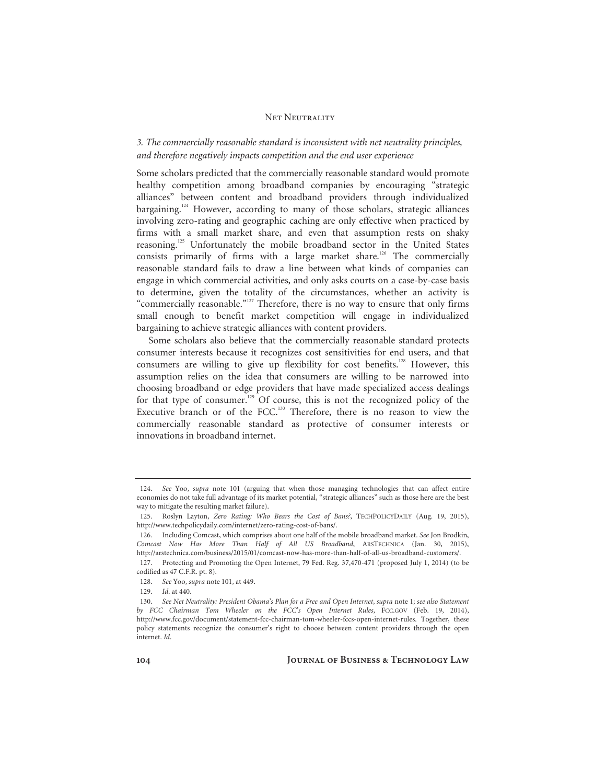# *3. The commercially reasonable standard is inconsistent with net neutrality principles, and therefore negatively impacts competition and the end user experience*

Some scholars predicted that the commercially reasonable standard would promote healthy competition among broadband companies by encouraging "strategic alliances" between content and broadband providers through individualized bargaining.<sup>124</sup> However, according to many of those scholars, strategic alliances involving zero-rating and geographic caching are only effective when practiced by firms with a small market share, and even that assumption rests on shaky reasoning.125 Unfortunately the mobile broadband sector in the United States consists primarily of firms with a large market share.<sup>126</sup> The commercially reasonable standard fails to draw a line between what kinds of companies can engage in which commercial activities, and only asks courts on a case-by-case basis to determine, given the totality of the circumstances, whether an activity is "commercially reasonable."<sup>127</sup> Therefore, there is no way to ensure that only firms small enough to benefit market competition will engage in individualized bargaining to achieve strategic alliances with content providers.

Some scholars also believe that the commercially reasonable standard protects consumer interests because it recognizes cost sensitivities for end users, and that consumers are willing to give up flexibility for cost benefits.<sup>128</sup> However, this assumption relies on the idea that consumers are willing to be narrowed into choosing broadband or edge providers that have made specialized access dealings for that type of consumer.<sup>129</sup> Of course, this is not the recognized policy of the Executive branch or of the FCC.<sup>130</sup> Therefore, there is no reason to view the commercially reasonable standard as protective of consumer interests or innovations in broadband internet.

<sup>124.</sup> *See* Yoo, *supra* note 101 (arguing that when those managing technologies that can affect entire economies do not take full advantage of its market potential, "strategic alliances" such as those here are the best way to mitigate the resulting market failure).

 <sup>125.</sup> Roslyn Layton, *Zero Rating: Who Bears the Cost of Bans?*, TECHPOLICYDAILY (Aug. 19, 2015), http://www.techpolicydaily.com/internet/zero-rating-cost-of-bans/.

 <sup>126.</sup> Including Comcast, which comprises about one half of the mobile broadband market. *See* Jon Brodkin, *Comcast Now Has More Than Half of All US Broadband*, ARSTECHNICA (Jan. 30, 2015), http://arstechnica.com/business/2015/01/comcast-now-has-more-than-half-of-all-us-broadband-customers/. 127. Protecting and Promoting the Open Internet, 79 Fed. Reg. 37,470-471 (proposed July 1, 2014) (to be codified as 47 C.F.R. pt. 8).

<sup>128.</sup> *See* Yoo, *supra* note 101, at 449.

<sup>129.</sup> *Id*. at 440.

<sup>130.</sup> *See Net Neutrality: President Obama's Plan for a Free and Open Internet*, *supra* note 1; *see also Statement by FCC Chairman Tom Wheeler on the FCC's Open Internet Rules*, FCC.GOV (Feb. 19, 2014), http://www.fcc.gov/document/statement-fcc-chairman-tom-wheeler-fccs-open-internet-rules. Together, these policy statements recognize the consumer's right to choose between content providers through the open internet. *Id*.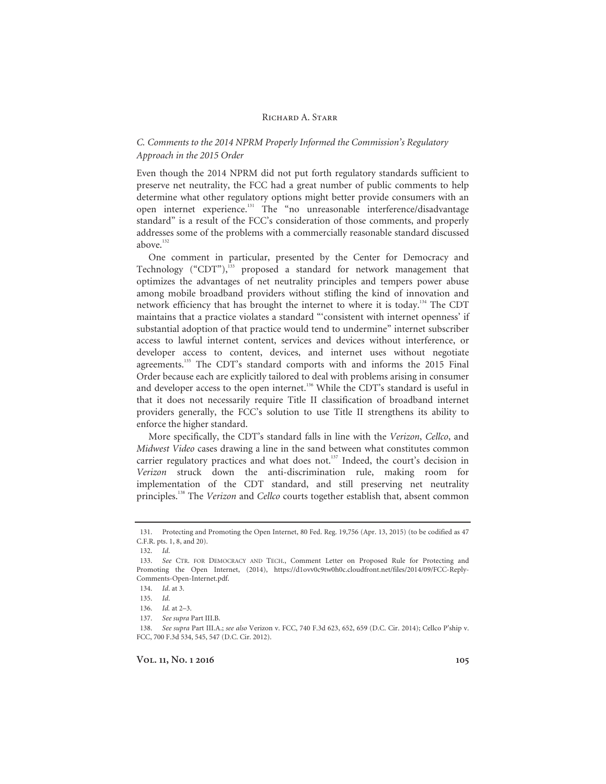# *C. Comments to the 2014 NPRM Properly Informed the Commission's Regulatory Approach in the 2015 Order*

Even though the 2014 NPRM did not put forth regulatory standards sufficient to preserve net neutrality, the FCC had a great number of public comments to help determine what other regulatory options might better provide consumers with an open internet experience.131 The "no unreasonable interference/disadvantage standard" is a result of the FCC's consideration of those comments, and properly addresses some of the problems with a commercially reasonable standard discussed above.<sup>132</sup>

One comment in particular, presented by the Center for Democracy and Technology ("CDT"), $^{133}$  proposed a standard for network management that optimizes the advantages of net neutrality principles and tempers power abuse among mobile broadband providers without stifling the kind of innovation and network efficiency that has brought the internet to where it is today.134 The CDT maintains that a practice violates a standard "'consistent with internet openness' if substantial adoption of that practice would tend to undermine" internet subscriber access to lawful internet content, services and devices without interference, or developer access to content, devices, and internet uses without negotiate agreements.<sup>135</sup> The CDT's standard comports with and informs the 2015 Final Order because each are explicitly tailored to deal with problems arising in consumer and developer access to the open internet.<sup>136</sup> While the CDT's standard is useful in that it does not necessarily require Title II classification of broadband internet providers generally, the FCC's solution to use Title II strengthens its ability to enforce the higher standard.

More specifically, the CDT's standard falls in line with the *Verizon*, *Cellco*, and *Midwest Video* cases drawing a line in the sand between what constitutes common carrier regulatory practices and what does not.<sup>137</sup> Indeed, the court's decision in *Verizon* struck down the anti-discrimination rule, making room for implementation of the CDT standard, and still preserving net neutrality principles.138 The *Verizon* and *Cellco* courts together establish that, absent common

 <sup>131.</sup> Protecting and Promoting the Open Internet, 80 Fed. Reg. 19,756 (Apr. 13, 2015) (to be codified as 47 C.F.R. pts. 1, 8, and 20).

<sup>132.</sup> *Id*.

<sup>133.</sup> *See* CTR. FOR DEMOCRACY AND TECH., Comment Letter on Proposed Rule for Protecting and Promoting the Open Internet, (2014), https://d1ovv0c9tw0h0c.cloudfront.net/files/2014/09/FCC-Reply-Comments-Open-Internet.pdf.

<sup>134.</sup> *Id*. at 3.

<sup>135.</sup> *Id*.

<sup>136.</sup> *Id.* at 2–3.

<sup>137.</sup> *See supra* Part III.B.

<sup>138.</sup> *See supra* Part III.A.; *see also* Verizon v. FCC, 740 F.3d 623, 652, 659 (D.C. Cir. 2014); Cellco P'ship v. FCC, 700 F.3d 534, 545, 547 (D.C. Cir. 2012).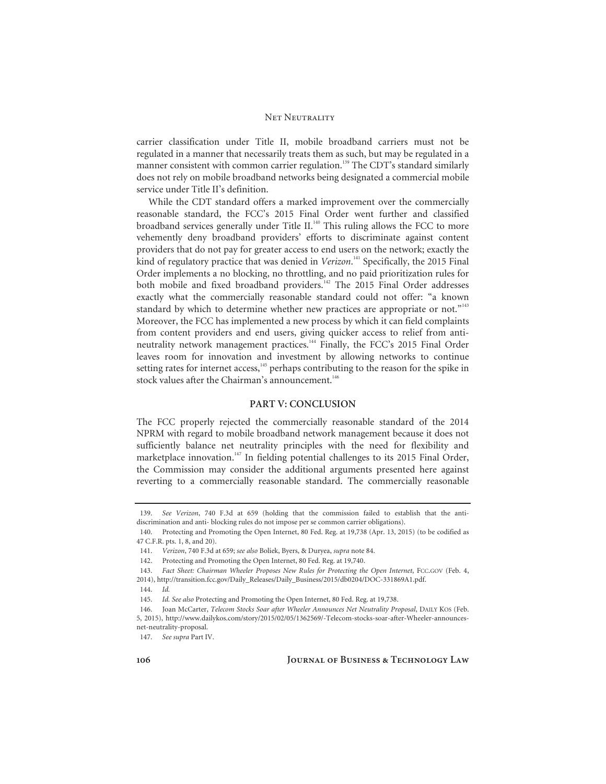carrier classification under Title II, mobile broadband carriers must not be regulated in a manner that necessarily treats them as such, but may be regulated in a manner consistent with common carrier regulation.<sup>139</sup> The CDT's standard similarly does not rely on mobile broadband networks being designated a commercial mobile service under Title II's definition.

While the CDT standard offers a marked improvement over the commercially reasonable standard, the FCC's 2015 Final Order went further and classified broadband services generally under Title II.<sup>140</sup> This ruling allows the FCC to more vehemently deny broadband providers' efforts to discriminate against content providers that do not pay for greater access to end users on the network; exactly the kind of regulatory practice that was denied in *Verizon*. 141 Specifically, the 2015 Final Order implements a no blocking, no throttling, and no paid prioritization rules for both mobile and fixed broadband providers.<sup>142</sup> The 2015 Final Order addresses exactly what the commercially reasonable standard could not offer: "a known standard by which to determine whether new practices are appropriate or not."<sup>143</sup> Moreover, the FCC has implemented a new process by which it can field complaints from content providers and end users, giving quicker access to relief from antineutrality network management practices.<sup>144</sup> Finally, the FCC's 2015 Final Order leaves room for innovation and investment by allowing networks to continue setting rates for internet access, $145$  perhaps contributing to the reason for the spike in stock values after the Chairman's announcement.<sup>146</sup>

## **PART V: CONCLUSION**

The FCC properly rejected the commercially reasonable standard of the 2014 NPRM with regard to mobile broadband network management because it does not sufficiently balance net neutrality principles with the need for flexibility and marketplace innovation.<sup>147</sup> In fielding potential challenges to its 2015 Final Order, the Commission may consider the additional arguments presented here against reverting to a commercially reasonable standard. The commercially reasonable

<sup>139.</sup> *See Verizon*, 740 F.3d at 659 (holding that the commission failed to establish that the antidiscrimination and anti- blocking rules do not impose per se common carrier obligations).

 <sup>140.</sup> Protecting and Promoting the Open Internet, 80 Fed. Reg. at 19,738 (Apr. 13, 2015) (to be codified as 47 C.F.R. pts. 1, 8, and 20).

<sup>141.</sup> *Verizon*, 740 F.3d at 659; *see also* Boliek, Byers, & Duryea, *supra* note 84.

 <sup>142.</sup> Protecting and Promoting the Open Internet, 80 Fed. Reg. at 19,740.

<sup>143.</sup> *Fact Sheet: Chairman Wheeler Proposes New Rules for Protecting the Open Internet*, FCC.GOV (Feb. 4, 2014), http://transition.fcc.gov/Daily\_Releases/Daily\_Business/2015/db0204/DOC-331869A1.pdf.

<sup>144.</sup> *Id.*

<sup>145.</sup> *Id. See also* Protecting and Promoting the Open Internet, 80 Fed. Reg. at 19,738.

 <sup>146.</sup> Joan McCarter, *Telecom Stocks Soar after Wheeler Announces Net Neutrality Proposal*, DAILY KOS (Feb. 5, 2015), http://www.dailykos.com/story/2015/02/05/1362569/-Telecom-stocks-soar-after-Wheeler-announcesnet-neutrality-proposal.

<sup>147.</sup> *See supra* Part IV.